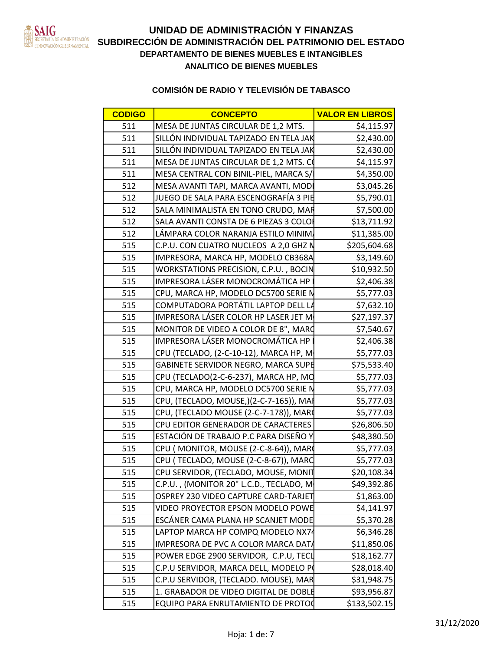

| CONCEPTO                                                                  | <b>VALOR EN LIBROS</b>       |
|---------------------------------------------------------------------------|------------------------------|
| MESA DE JUNTAS CIRCULAR DE 1,2 MTS.                                       |                              |
| LÓN INDIVIDUAL TAPIZADO EN TELA J                                         | \$2.430                      |
| <u>LÓN INDIVIDUAL TAPIZADO EN TELA JA</u>                                 | \$2,430.0                    |
| MESA DE JUNTAS CIRCULAR DE 1,2 MTS                                        |                              |
| MESA CENTRAL CON BINIL-PIEL, MARCA S,                                     | <b>SA 350</b>                |
| MESA AVANTI TAPI, MARCA AVANTI, MODI                                      | 530152                       |
| <u>IO DE SALA PARA ESCENOGRAFÍA 3 F</u>                                   |                              |
| LA MINIMALISTA EN TONO CRUDO, N                                           |                              |
| SALA AVANTI CONSTA DE 6 PIEZAS 3 C                                        |                              |
| MPARA COLOR NARANJA ESTILO MININ                                          | 11.385                       |
| J. CON CUATRO NUCLEOS A 2,0 G                                             | \$205.604.6                  |
| IMPRESORA, MARCA HP, MODELO CB368                                         | \$3.1496                     |
| WORKSTATIONS PRECISION, C.P.U., BOC                                       | 10 Q21                       |
| IMPRESORA LÁSER MONOCROMÁTICA HP                                          | \$2.406                      |
| U, MARCA HP, MODELO DC5700 SERI                                           |                              |
| COMPUTADORA PORTÁTIL LAPTOP DEL                                           |                              |
| IMPRESORA LÁSER COLOR HP LASER JET                                        |                              |
| MONITOR DE VIDEO A COLOR DE 8", MAR                                       | <b>S7 540 67</b>             |
| IMPRESORA LÁSER MONOCROMÁTICA HP                                          | S2.406.3                     |
| / (TECLADO, (2-C-10-12), MARCA HP,                                        |                              |
| BINETE SERVIDOR NEGRO, MARCA S                                            | <b>¢75 522</b>               |
| (TECLADO(2-C-6-237), MARCA HP, M                                          |                              |
| U, MARCA HP, MODELO DC5700 SERIE                                          |                              |
| (TECLADO, MOUSE,)(2-C-7-165)), N                                          | <b>CE 777</b>                |
| PU, (TECLADO MOUSE (2-C-7-178)), MAR                                      | <b>CE 777</b>                |
| U EDITOR GENERADOR DE CARACTER                                            | \$26.806.                    |
| TACIÓN DE TRABAJO P.C PARA DISEÑO                                         | \$48,380.5                   |
| /U ( MONITOR, MOUSE (2-C-8-64)), MA                                       |                              |
| CLADO, MOUSE (2-C-8-67)), MAR                                             |                              |
| PU SERVIDOR, (TECLADO, MOUSE, MONIT                                       | \$20,108,34                  |
| C.P.U., (MONITOR 20" L.C.D., TECLADO, N                                   | \$49,392.8                   |
| OSPREY 230 VIDEO CAPTURE CARD-TARJET<br>VIDEO PROYECTOR EPSON MODELO POWE | \$1,863.0                    |
|                                                                           | $\frac{$4,141.9}{55.370.2}$  |
| ESCÁNER CAMA PLANA HP SCANJET MODE                                        |                              |
| PTOP MARCA HP COMPQ MODELO NX74                                           | $\frac{$6,346.2}{$11,850.0}$ |
| 1PRESORA DE PVC A COLOR MARCA DA                                          |                              |
| POWER EDGE 2900 SERVIDOR, C.P.U, TE                                       | \$18,162.7                   |
| P.U SERVIDOR, MARCA DELL, MODELO                                          | \$28,018.40                  |
| .U SERVIDOR, (TECLADO. MOUSE), MAI                                        | $$31,948.7$<br>$$93,956.8$   |
| I. GRABADOR DE VIDEO DIGITAL DE DOBLE                                     |                              |
| QUIPO PARA ENRUTAMIENTO DE PROTO                                          | \$133.502.                   |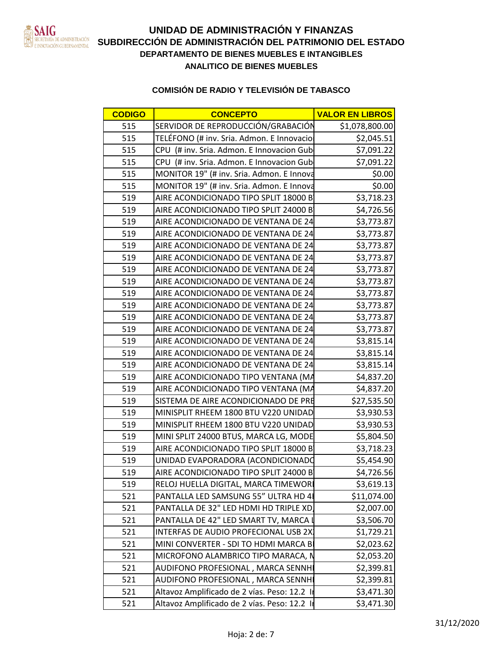

# **DEPARTAMENTO DE BIENES MUEBLES E INTANGIBLES** ETARÍADE ADMINISTRACIÓN<br>Indiación gubernamental **SUBDIRECCIÓN DE ADMINISTRACIÓN DEL PATRIMONIO DEL ESTADO ANALITICO DE BIENES MUEBLES UNIDAD DE ADMINISTRACIÓN Y FINANZAS**

| <b>CODIGO</b> | <b>CONCEPTO</b>                              | <b>VALOR EN LIBROS</b> |
|---------------|----------------------------------------------|------------------------|
| 515           | SERVIDOR DE REPRODUCCIÓN/GRABACIÓN           | \$1,078,800.00         |
| 515           | TELÉFONO (# inv. Sria. Admon. E Innovacio    | \$2,045.51             |
| 515           | CPU (# inv. Sria. Admon. E Innovacion Gub    | \$7,091.22             |
| 515           | CPU (# inv. Sria. Admon. E Innovacion Gub    | \$7,091.22             |
| 515           | MONITOR 19" (# inv. Sria. Admon. E Innova    | \$0.00                 |
| 515           | MONITOR 19" (# inv. Sria. Admon. E Innova    | \$0.00                 |
| 519           | AIRE ACONDICIONADO TIPO SPLIT 18000 B        | \$3,718.23             |
| 519           | AIRE ACONDICIONADO TIPO SPLIT 24000 B        | \$4,726.56             |
| 519           | AIRE ACONDICIONADO DE VENTANA DE 24          | \$3,773.87             |
| 519           | AIRE ACONDICIONADO DE VENTANA DE 24          | \$3,773.87             |
| 519           | AIRE ACONDICIONADO DE VENTANA DE 24          | \$3,773.87             |
| 519           | AIRE ACONDICIONADO DE VENTANA DE 24          | \$3,773.87             |
| 519           | AIRE ACONDICIONADO DE VENTANA DE 24          | \$3,773.87             |
| 519           | AIRE ACONDICIONADO DE VENTANA DE 24          | \$3,773.87             |
| 519           | AIRE ACONDICIONADO DE VENTANA DE 24          | \$3,773.87             |
| 519           | AIRE ACONDICIONADO DE VENTANA DE 24          | \$3,773.87             |
| 519           | AIRE ACONDICIONADO DE VENTANA DE 24          | \$3,773.87             |
| 519           | AIRE ACONDICIONADO DE VENTANA DE 24          | \$3,773.87             |
| 519           | AIRE ACONDICIONADO DE VENTANA DE 24          | \$3,815.14             |
| 519           | AIRE ACONDICIONADO DE VENTANA DE 24          | \$3,815.14             |
| 519           | AIRE ACONDICIONADO DE VENTANA DE 24          | \$3,815.14             |
| 519           | AIRE ACONDICIONADO TIPO VENTANA (MA          | \$4,837.20             |
| 519           | AIRE ACONDICIONADO TIPO VENTANA (MA          | \$4,837.20             |
| 519           | SISTEMA DE AIRE ACONDICIONADO DE PRE         | \$27,535.50            |
| 519           | MINISPLIT RHEEM 1800 BTU V220 UNIDAD         | \$3,930.53             |
| 519           | MINISPLIT RHEEM 1800 BTU V220 UNIDAD         | \$3,930.53             |
| 519           | MINI SPLIT 24000 BTUS, MARCA LG, MODE        | \$5,804.50             |
| 519           | AIRE ACONDICIONADO TIPO SPLIT 18000 B        | \$3,718.23             |
| 519           | UNIDAD EVAPORADORA (ACONDICIONADO            | \$5,454.90             |
| 519           | AIRE ACONDICIONADO TIPO SPLIT 24000 B        | \$4,726.56             |
| 519           | RELOJ HUELLA DIGITAL, MARCA TIMEWOR          | \$3,619.13             |
| 521           | PANTALLA LED SAMSUNG 55" ULTRA HD 4          | \$11,074.00            |
| 521           | PANTALLA DE 32" LED HDMI HD TRIPLE XD        | \$2,007.00             |
| 521           | PANTALLA DE 42" LED SMART TV, MARCA I        | \$3,506.70             |
| 521           | INTERFAS DE AUDIO PROFECIONAL USB 2X         | \$1,729.21             |
| 521           | MINI CONVERTER - SDI TO HDMI MARCA B         | \$2,023.62             |
| 521           | MICROFONO ALAMBRICO TIPO MARACA, N           | \$2,053.20             |
| 521           | AUDIFONO PROFESIONAL, MARCA SENNH            | \$2,399.81             |
| 521           | AUDIFONO PROFESIONAL, MARCA SENNHI           | \$2,399.81             |
| 521           | Altavoz Amplificado de 2 vías. Peso: 12.2 lr | \$3,471.30             |
| 521           | Altavoz Amplificado de 2 vías. Peso: 12.2 li | \$3,471.30             |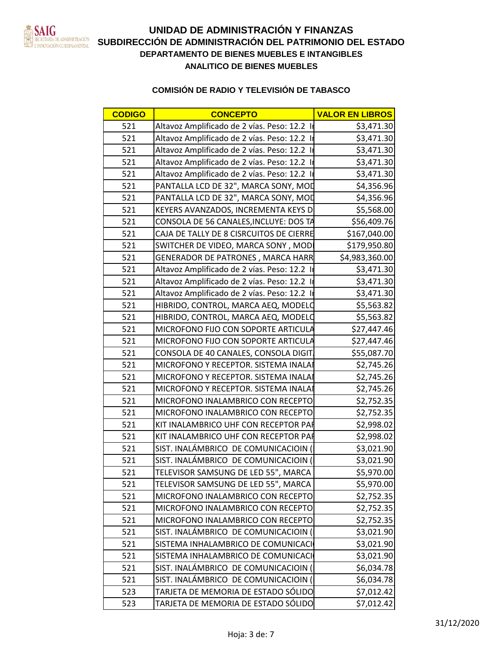

| <b>CODIGO</b> | <b>CONCEPTO</b>                              | <b>VALOR EN LIBROS</b> |
|---------------|----------------------------------------------|------------------------|
| 521           | Altavoz Amplificado de 2 vías. Peso: 12.2 li | \$3,471.30             |
| 521           | Altavoz Amplificado de 2 vías. Peso: 12.2 I  | \$3,471.30             |
| 521           | Altavoz Amplificado de 2 vías. Peso: 12.2 lr | \$3,471.30             |
| 521           | Altavoz Amplificado de 2 vías. Peso: 12.2 lr | \$3,471.30             |
| 521           | Altavoz Amplificado de 2 vías. Peso: 12.2 lr | \$3,471.30             |
| 521           | PANTALLA LCD DE 32", MARCA SONY, MOD         | \$4,356.96             |
| 521           | PANTALLA LCD DE 32", MARCA SONY, MOD         | \$4,356.96             |
| 521           | KEYERS AVANZADOS, INCREMENTA KEYS D          | \$5,568.00             |
| 521           | CONSOLA DE 56 CANALES, INCLUYE: DOS TA       | \$56,409.76            |
| 521           | CAJA DE TALLY DE 8 CISRCUITOS DE CIERRE      | \$167,040.00           |
| 521           | SWITCHER DE VIDEO, MARCA SONY, MOD           | \$179,950.80           |
| 521           | <b>GENERADOR DE PATRONES, MARCA HARR</b>     | \$4,983,360.00         |
| 521           | Altavoz Amplificado de 2 vías. Peso: 12.2 lr | \$3,471.30             |
| 521           | Altavoz Amplificado de 2 vías. Peso: 12.2 lr | \$3,471.30             |
| 521           | Altavoz Amplificado de 2 vías. Peso: 12.2 lr | \$3,471.30             |
| 521           | HIBRIDO, CONTROL, MARCA AEQ, MODELO          | \$5,563.82             |
| 521           | HIBRIDO, CONTROL, MARCA AEQ, MODELO          | \$5,563.82             |
| 521           | MICROFONO FIJO CON SOPORTE ARTICULA          | \$27,447.46            |
| 521           | MICROFONO FIJO CON SOPORTE ARTICULA          | \$27,447.46            |
| 521           | CONSOLA DE 40 CANALES, CONSOLA DIGIT         | \$55,087.70            |
| 521           | MICROFONO Y RECEPTOR. SISTEMA INALAI         | \$2,745.26             |
| 521           | MICROFONO Y RECEPTOR. SISTEMA INALAI         | \$2,745.26             |
| 521           | MICROFONO Y RECEPTOR. SISTEMA INALAI         | \$2,745.26             |
| 521           | MICROFONO INALAMBRICO CON RECEPTO            | \$2,752.35             |
| 521           | MICROFONO INALAMBRICO CON RECEPTO            | \$2,752.35             |
| 521           | KIT INALAMBRICO UHF CON RECEPTOR PAR         | \$2,998.02             |
| 521           | KIT INALAMBRICO UHF CON RECEPTOR PAR         | \$2,998.02             |
| 521           | SIST. INALÁMBRICO DE COMUNICACIOIN (         | \$3,021.90             |
| 521           | SIST. INALÁMBRICO DE COMUNICACIOIN (         | \$3,021.90             |
| 521           | TELEVISOR SAMSUNG DE LED 55", MARCA          | \$5,970.00             |
| 521           | TELEVISOR SAMSUNG DE LED 55", MARCA          | \$5,970.00             |
| 521           | MICROFONO INALAMBRICO CON RECEPTO            | \$2,752.35             |
| 521           | MICROFONO INALAMBRICO CON RECEPTO            | \$2,752.35             |
| 521           | MICROFONO INALAMBRICO CON RECEPTO            | \$2,752.35             |
| 521           | SIST. INALÁMBRICO DE COMUNICACIOIN (         | \$3,021.90             |
| 521           | SISTEMA INHALAMBRICO DE COMUNICACI           | \$3,021.90             |
| 521           | SISTEMA INHALAMBRICO DE COMUNICACI           | \$3,021.90             |
| 521           | SIST. INALÁMBRICO DE COMUNICACIOIN (         | \$6,034.78             |
| 521           | SIST. INALÁMBRICO DE COMUNICACIOIN (         | \$6,034.78             |
| 523           | TARJETA DE MEMORIA DE ESTADO SÓLIDO          | \$7,012.42             |
| 523           | TARJETA DE MEMORIA DE ESTADO SÓLIDO          | \$7,012.42             |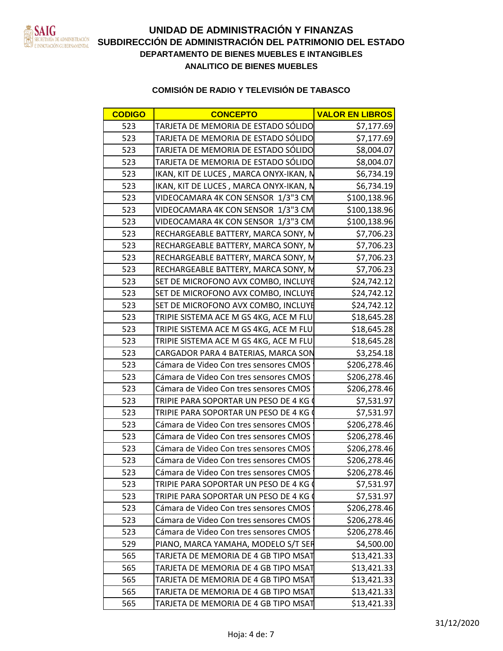

| ARJETA DE MEMORIA DE ESTADO SÓLIDO<br>ARJETA DE MEMORIA DE ESTADO SÓLIDO<br>ARJETA DE MEMORIA DE ESTADO SÓLIDO                                                                                                                                   |  |  |  |
|--------------------------------------------------------------------------------------------------------------------------------------------------------------------------------------------------------------------------------------------------|--|--|--|
|                                                                                                                                                                                                                                                  |  |  |  |
|                                                                                                                                                                                                                                                  |  |  |  |
|                                                                                                                                                                                                                                                  |  |  |  |
| TARJETA DE MEMORIA DE ESTADO SÓLIDO<br>IKAN, KIT DE LUCES , MARCA ONYX-IKAN, N<br>IKAN, KIT DE LUCES , MARCA ONYX-IKAN, N<br>VIDEOCAMARA 4K CON SENSOR 1/3"3 CM                                                                                  |  |  |  |
|                                                                                                                                                                                                                                                  |  |  |  |
| \$100 138                                                                                                                                                                                                                                        |  |  |  |
|                                                                                                                                                                                                                                                  |  |  |  |
|                                                                                                                                                                                                                                                  |  |  |  |
|                                                                                                                                                                                                                                                  |  |  |  |
|                                                                                                                                                                                                                                                  |  |  |  |
|                                                                                                                                                                                                                                                  |  |  |  |
|                                                                                                                                                                                                                                                  |  |  |  |
|                                                                                                                                                                                                                                                  |  |  |  |
| VIDEOCAMARA 4K CON SENSOR 1/3"3 CM<br>VIDEOCAMARA 4K CON SENSOR 1/3"3 CM<br>VIDEOCAMARA 4K CON SENSOR 1/3"3 CM<br>RECHARGEABLE BATTERY, MARCA SONY, M<br>RECHARGEABLE BATTERY, MARCA SONY, M<br>RECHARGEABLE BATTERY, MARCA SONY, M<br>RECHARGEA |  |  |  |
|                                                                                                                                                                                                                                                  |  |  |  |
|                                                                                                                                                                                                                                                  |  |  |  |
|                                                                                                                                                                                                                                                  |  |  |  |
|                                                                                                                                                                                                                                                  |  |  |  |
|                                                                                                                                                                                                                                                  |  |  |  |
|                                                                                                                                                                                                                                                  |  |  |  |
|                                                                                                                                                                                                                                                  |  |  |  |
| Cámara de Video Con tres sensores CMOS                                                                                                                                                                                                           |  |  |  |
|                                                                                                                                                                                                                                                  |  |  |  |
|                                                                                                                                                                                                                                                  |  |  |  |
| 523 TRIPIE PARA SOPORTAR UN PESO DE 4 KC<br>523 TRIPIE PARA SOPORTAR UN PESO DE 4 KG<br>73 Cámara de Video Con tres sensores CMOS                                                                                                                |  |  |  |
|                                                                                                                                                                                                                                                  |  |  |  |
| ╤╤╤╪╤═══                                                                                                                                                                                                                                         |  |  |  |
| Cámara de Video Con tres sensores CMOS<br>Cámara de Video Con tres sensores CMOS<br>Cámara de Video Con tres sensores CMOS<br>Cámara de Video Con tres sensores CMOS<br>\$206,278.46                                                             |  |  |  |
|                                                                                                                                                                                                                                                  |  |  |  |
|                                                                                                                                                                                                                                                  |  |  |  |
|                                                                                                                                                                                                                                                  |  |  |  |
| $$206,278.4$<br>\$206,278.4                                                                                                                                                                                                                      |  |  |  |
|                                                                                                                                                                                                                                                  |  |  |  |
| AOS \$206,27                                                                                                                                                                                                                                     |  |  |  |
|                                                                                                                                                                                                                                                  |  |  |  |
|                                                                                                                                                                                                                                                  |  |  |  |
|                                                                                                                                                                                                                                                  |  |  |  |
| 523 TRIPIE PARA SOPORTAR UN PESO DE 4 KG 6<br>523 TRIPIE PARA SOPORTAR UN PESO DE 4 KG 6<br>523 Cámara de Video Con tres sensores CMOS<br>523 Cámara de Video Con tres sensores CMOS<br>523 Cámara de Video Con tres sensores CMOS<br>529 PIA    |  |  |  |
|                                                                                                                                                                                                                                                  |  |  |  |
|                                                                                                                                                                                                                                                  |  |  |  |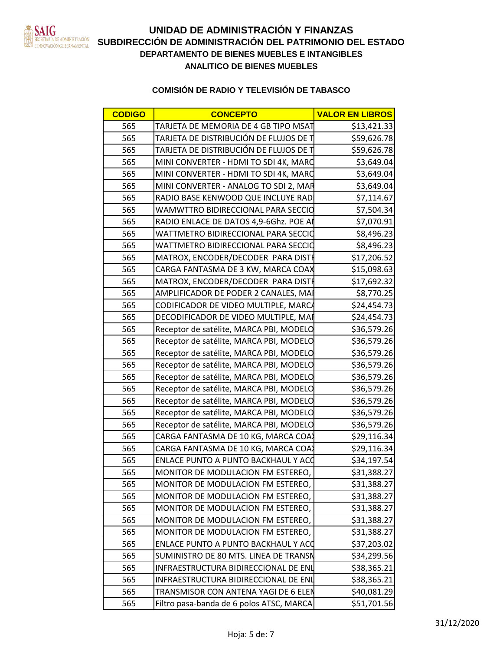

# **DEPARTAMENTO DE BIENES MUEBLES E INTANGIBLES** ETARÍADE ADMINISTRACIÓN<br>Indiación gubernamental **SUBDIRECCIÓN DE ADMINISTRACIÓN DEL PATRIMONIO DEL ESTADO ANALITICO DE BIENES MUEBLES UNIDAD DE ADMINISTRACIÓN Y FINANZAS**

| TARJETA DE MEMORIA DE 4 GB TIPO MSAT<br>TARJETA DE DISTRIBUCIÓN DE FLUJOS DE T<br>TARJETA DE DISTRIBUCIÓN DE FLUJOS DE T<br>MINI CONVERTER - HDMI TO SDI 4K, MARC<br>MINI CONVERTER - HDMI TO SDI 4K, MARC<br>MINI CONVERTER - ANALOG TO SDI                         |  |  |  |
|----------------------------------------------------------------------------------------------------------------------------------------------------------------------------------------------------------------------------------------------------------------------|--|--|--|
|                                                                                                                                                                                                                                                                      |  |  |  |
|                                                                                                                                                                                                                                                                      |  |  |  |
|                                                                                                                                                                                                                                                                      |  |  |  |
|                                                                                                                                                                                                                                                                      |  |  |  |
|                                                                                                                                                                                                                                                                      |  |  |  |
|                                                                                                                                                                                                                                                                      |  |  |  |
| WAMWTTRO BIDIRECCIONAL PARA SECCI<br>RADIO ENLACE DE DATOS 4,9-6Ghz. POE<br>WATTMETRO BIDIRECCIONAL PARA SECO<br>WATTMETRO BIDIRECCIONAL PARA SECO<br>MATROX, ENCODER/DECODER PARA DI                                                                                |  |  |  |
|                                                                                                                                                                                                                                                                      |  |  |  |
|                                                                                                                                                                                                                                                                      |  |  |  |
| <b>ADN 82</b>                                                                                                                                                                                                                                                        |  |  |  |
|                                                                                                                                                                                                                                                                      |  |  |  |
|                                                                                                                                                                                                                                                                      |  |  |  |
|                                                                                                                                                                                                                                                                      |  |  |  |
|                                                                                                                                                                                                                                                                      |  |  |  |
|                                                                                                                                                                                                                                                                      |  |  |  |
| MATROX, ENCODER/DECODER PARA DISTRET \$17,206<br>CARGA FANTASMA DE 3 KW, MARCA COAX \$15,096<br>MATROX, ENCODER/DECODER PARA DISTRET \$17,69<br>5 AMPLIFICADOR DE PODER 2 CANALES, MAI<br>5 CODIFICADOR DE VIDEO MULTIPLE, MARCA<br>5 CODIF                          |  |  |  |
|                                                                                                                                                                                                                                                                      |  |  |  |
|                                                                                                                                                                                                                                                                      |  |  |  |
|                                                                                                                                                                                                                                                                      |  |  |  |
|                                                                                                                                                                                                                                                                      |  |  |  |
|                                                                                                                                                                                                                                                                      |  |  |  |
|                                                                                                                                                                                                                                                                      |  |  |  |
|                                                                                                                                                                                                                                                                      |  |  |  |
|                                                                                                                                                                                                                                                                      |  |  |  |
|                                                                                                                                                                                                                                                                      |  |  |  |
|                                                                                                                                                                                                                                                                      |  |  |  |
|                                                                                                                                                                                                                                                                      |  |  |  |
|                                                                                                                                                                                                                                                                      |  |  |  |
| C 21 200 27                                                                                                                                                                                                                                                          |  |  |  |
| $\frac{631,888.27}{631,388.27}$                                                                                                                                                                                                                                      |  |  |  |
|                                                                                                                                                                                                                                                                      |  |  |  |
| $\frac{251,388.2}{531,388.27}$                                                                                                                                                                                                                                       |  |  |  |
|                                                                                                                                                                                                                                                                      |  |  |  |
| <b>C21 288</b><br>$\frac{120}{1}$                                                                                                                                                                                                                                    |  |  |  |
|                                                                                                                                                                                                                                                                      |  |  |  |
| \$38.365.2                                                                                                                                                                                                                                                           |  |  |  |
| 638365                                                                                                                                                                                                                                                               |  |  |  |
| 565 MONITOR DE MODULACION FM ESTEREO,<br>565 MONITOR DE MODULACION FM ESTEREO,<br>565 MONITOR DE MODULACION FM ESTEREO,<br>565 MONITOR DE MODULACION FM ESTEREO,<br>565 MONITOR DE MODULACION FM ESTEREO,<br>565 MONITOR DE MODULACION FM EST<br>$\frac{1}{540.081}$ |  |  |  |
|                                                                                                                                                                                                                                                                      |  |  |  |
|                                                                                                                                                                                                                                                                      |  |  |  |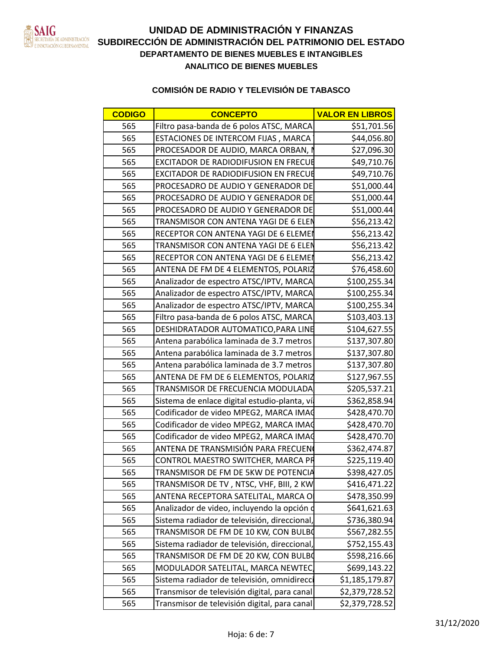

| <b>CODIGO</b> | <b>CONCEPTO</b>                                                           | <b>VALOR EN LIBROS</b>       |
|---------------|---------------------------------------------------------------------------|------------------------------|
| 565           | Filtro pasa-banda de 6 polos ATSC, MARCA                                  | \$51,701.56                  |
| 565           | ESTACIONES DE INTERCOM FIJAS, MARCA                                       | \$44,056.80                  |
| 565           | PROCESADOR DE AUDIO, MARCA ORBAN,                                         | \$27,096.30                  |
| -565          | EXCITADOR DE RADIODIFUSION EN FRECUI                                      | \$49,710.76                  |
| 565           | <b>EXCITADOR DE RADIODIFUSION EN FRECU</b>                                | \$49,710.76                  |
| 565           | <b>PROCESADRO DE AUDIO Y GENERADOR DE</b>                                 | \$51,000.44                  |
| - 565         | <b>PROCESADRO DE AUDIO Y GENERADOR DE</b>                                 | \$51,000.44                  |
| -565          | PROCESADRO DE AUDIO Y GENERADOR DE                                        | \$51,000.44                  |
| - 565         | TRANSMISOR CON ANTENA YAGI DE 6 ELE                                       | \$56,213.42                  |
| 565           | RECEPTOR CON ANTENA YAGI DE 6 ELEMEN                                      | \$56,213.42                  |
| 565           | TRANSMISOR CON ANTENA YAGI DE 6 ELEN                                      | \$56,213.42                  |
| -565          | RECEPTOR CON ANTENA YAGI DE 6 ELEME                                       | \$56,213.42                  |
| 565           | ANTENA DE FM DE 4 ELEMENTOS, POLARIZ                                      | \$76,458.60                  |
| 565           | Analizador de espectro ATSC/IPTV, MARCA                                   | \$100,255.34                 |
| 565           | Analizador de espectro ATSC/IPTV, MARCA                                   | \$100,255.34                 |
| 565           | Analizador de espectro ATSC/IPTV, MARCA                                   | \$100,255.34                 |
| 565           | Filtro pasa-banda de 6 polos ATSC, MARCA                                  | \$103,403.13                 |
| 565           | <b>DESHIDRATADOR AUTOMATICO, PARA LINE</b>                                | \$104,627.55                 |
| 565           | Antena parabólica laminada de 3.7 metro                                   | \$137,307.80                 |
| 565           | Antena parabólica laminada de 3.7 metros                                  | \$137,307.80                 |
| -565          | Antena parabólica laminada de 3.7 metro                                   | \$137,307.80                 |
| - 565         | ANTENA DE FM DE 6 ELEMENTOS, POLARIZ                                      | \$127,967.55                 |
| - 565         | TRANSMISOR DE FRECUENCIA MODULADA                                         | \$205,537.21                 |
| - 565         | Sistema de enlace digital estudio-planta, vía                             | \$362,858.94                 |
| -565          | Codificador de video MPEG2, MARCA IMAC                                    | \$428,470.70                 |
| -565          | Codificador de video MPEG2, MARCA IMAC                                    | \$428,470.70                 |
| 565           | Codificador de video MPEG2, MARCA IMAC                                    | \$428,470.70                 |
| 565           | ANTENA DE TRANSMISIÓN PARA FRECUENO                                       | \$362,474.87<br>\$225,119.40 |
| 565<br>565    | CONTROL MAESTRO SWITCHER, MARCA PR<br>TRANSMISOR DE FM DE 5KW DE POTENCIA | \$398,427.05                 |
| 565           | TRANSMISOR DE TV, NTSC, VHF, BIII, 2 KW                                   | \$416,471.22                 |
| 565           | ANTENA RECEPTORA SATELITAL, MARCA O                                       | \$478,350.99                 |
| 565           | Analizador de video, incluyendo la opción o                               | \$641,621.63                 |
| 565           | Sistema radiador de televisión, direccional,                              | \$736,380.94                 |
| 565           | TRANSMISOR DE FM DE 10 KW, CON BULBO                                      | \$567,282.55                 |
| 565           | Sistema radiador de televisión, direccional,                              | \$752,155.43                 |
| 565           | TRANSMISOR DE FM DE 20 KW, CON BULBO                                      | \$598,216.66                 |
| 565           | MODULADOR SATELITAL, MARCA NEWTEC                                         | \$699,143.22                 |
| 565           | Sistema radiador de televisión, omnidirecc                                | \$1,185,179.87               |
| 565           | Transmisor de televisión digital, para canal                              | \$2,379,728.52               |
|               | 565   Transmisor de televisión digital, para canal                        | \$2,379,728.52               |